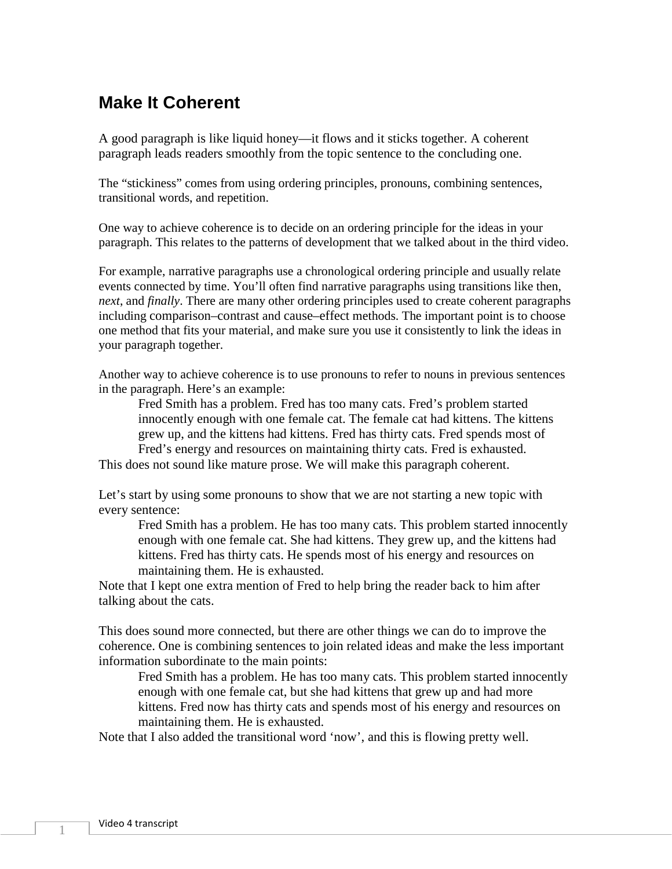## **Make It Coherent**

A good paragraph is like liquid honey—it flows and it sticks together. A coherent paragraph leads readers smoothly from the topic sentence to the concluding one.

The "stickiness" comes from using ordering principles, pronouns, combining sentences, transitional words, and repetition.

One way to achieve coherence is to decide on an ordering principle for the ideas in your paragraph. This relates to the patterns of development that we talked about in the third video.

For example, narrative paragraphs use a chronological ordering principle and usually relate events connected by time. You'll often find narrative paragraphs using transitions like then, *next*, and *finally*. There are many other ordering principles used to create coherent paragraphs including comparison–contrast and cause–effect methods. The important point is to choose one method that fits your material, and make sure you use it consistently to link the ideas in your paragraph together.

Another way to achieve coherence is to use pronouns to refer to nouns in previous sentences in the paragraph. Here's an example:

Fred Smith has a problem. Fred has too many cats. Fred's problem started innocently enough with one female cat. The female cat had kittens. The kittens grew up, and the kittens had kittens. Fred has thirty cats. Fred spends most of Fred's energy and resources on maintaining thirty cats. Fred is exhausted.

This does not sound like mature prose. We will make this paragraph coherent.

Let's start by using some pronouns to show that we are not starting a new topic with every sentence:

Fred Smith has a problem. He has too many cats. This problem started innocently enough with one female cat. She had kittens. They grew up, and the kittens had kittens. Fred has thirty cats. He spends most of his energy and resources on maintaining them. He is exhausted.

Note that I kept one extra mention of Fred to help bring the reader back to him after talking about the cats.

This does sound more connected, but there are other things we can do to improve the coherence. One is combining sentences to join related ideas and make the less important information subordinate to the main points:

Fred Smith has a problem. He has too many cats. This problem started innocently enough with one female cat, but she had kittens that grew up and had more kittens. Fred now has thirty cats and spends most of his energy and resources on maintaining them. He is exhausted.

Note that I also added the transitional word 'now', and this is flowing pretty well.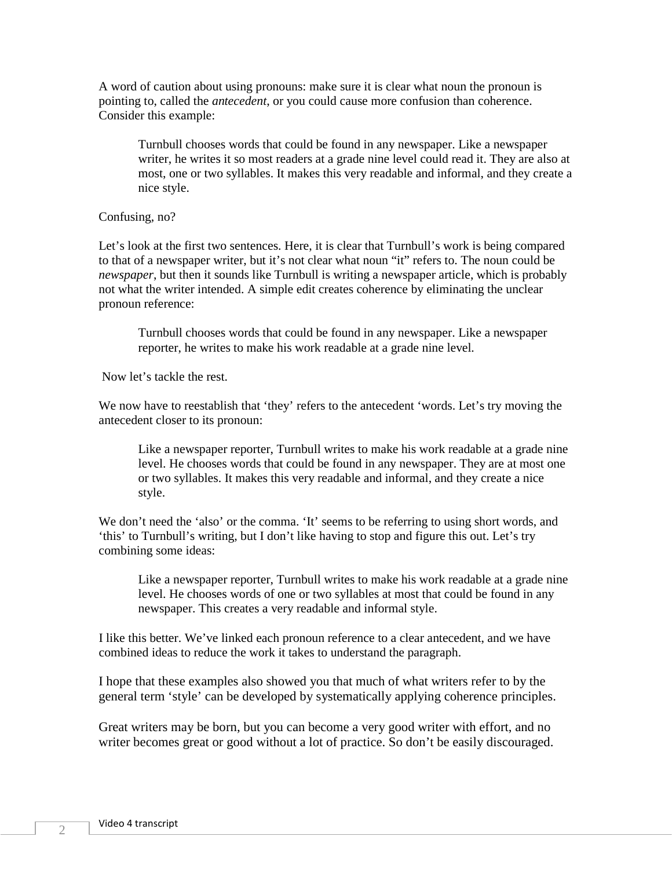A word of caution about using pronouns: make sure it is clear what noun the pronoun is pointing to, called the *antecedent*, or you could cause more confusion than coherence. Consider this example:

Turnbull chooses words that could be found in any newspaper. Like a newspaper writer, he writes it so most readers at a grade nine level could read it. They are also at most, one or two syllables. It makes this very readable and informal, and they create a nice style.

## Confusing, no?

Let's look at the first two sentences. Here, it is clear that Turnbull's work is being compared to that of a newspaper writer, but it's not clear what noun "it" refers to. The noun could be *newspaper*, but then it sounds like Turnbull is writing a newspaper article, which is probably not what the writer intended. A simple edit creates coherence by eliminating the unclear pronoun reference:

Turnbull chooses words that could be found in any newspaper. Like a newspaper reporter, he writes to make his work readable at a grade nine level*.*

Now let's tackle the rest.

We now have to reestablish that 'they' refers to the antecedent 'words. Let's try moving the antecedent closer to its pronoun:

Like a newspaper reporter, Turnbull writes to make his work readable at a grade nine level. He chooses words that could be found in any newspaper. They are at most one or two syllables. It makes this very readable and informal, and they create a nice style.

We don't need the 'also' or the comma. 'It' seems to be referring to using short words, and 'this' to Turnbull's writing, but I don't like having to stop and figure this out. Let's try combining some ideas:

Like a newspaper reporter, Turnbull writes to make his work readable at a grade nine level. He chooses words of one or two syllables at most that could be found in any newspaper. This creates a very readable and informal style.

I like this better. We've linked each pronoun reference to a clear antecedent, and we have combined ideas to reduce the work it takes to understand the paragraph.

I hope that these examples also showed you that much of what writers refer to by the general term 'style' can be developed by systematically applying coherence principles.

Great writers may be born, but you can become a very good writer with effort, and no writer becomes great or good without a lot of practice. So don't be easily discouraged.